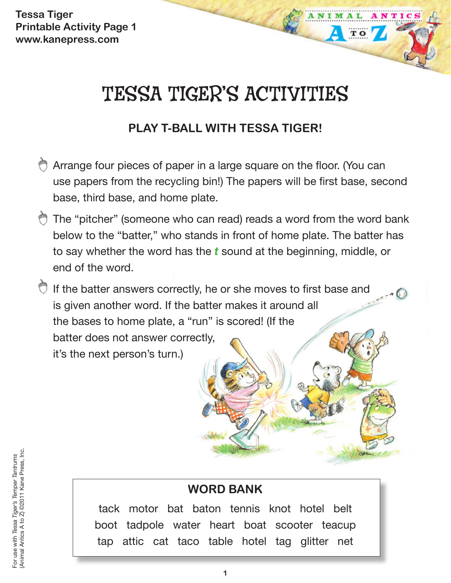**Tessa Tiger Printable Activity Page 1 www.kanepress.com**

# TESSA TIGER'S ACTIVITIES

TO

## **PLAY T-BALL WITH TESSA TIGER!**

- Arrange four pieces of paper in a large square on the floor. (You can use papers from the recycling bin!) The papers will be first base, second base, third base, and home plate.
- The "pitcher" (someone who can read) reads a word from the word bank below to the "batter," who stands in front of home plate. The batter has to say whether the word has the *t* sound at the beginning, middle, or end of the word.
- $\bigcirc$  If the batter answers correctly, he or she moves to first base and is given another word. If the batter makes it around all the bases to home plate, a "run" is scored! (If the batter does not answer correctly, it's the next person's turn.)

## **WORD BANK**

tack motor bat baton tennis knot hotel belt boot tadpole water heart boat scooter teacup tap attic cat taco table hotel tag glitter net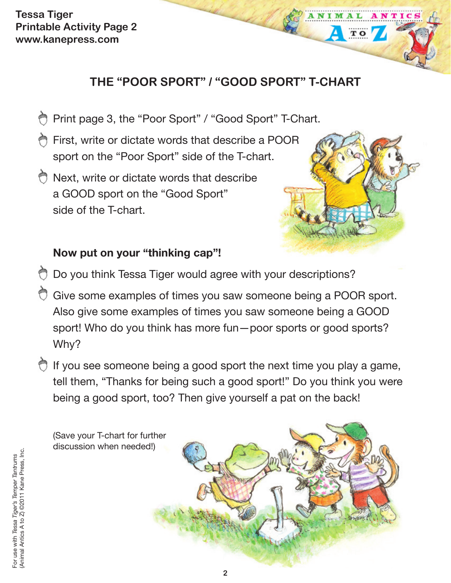**Tessa Tiger Printable Activity Page 2 www.kanepress.com**

## **THE "POOR SPORT" / "GOOD SPORT" T-CHART**

- Print page 3, the "Poor Sport" / "Good Sport" T-Chart. ⇔
- **First, write or dictate words that describe a POOR** sport on the "Poor Sport" side of the T-chart.
- **Next, write or dictate words that describe** a GOOD sport on the "Good Sport" side of the T-chart.



TO

## **Now put on your "thinking cap"!**

- **Do you think Tessa Tiger would agree with your descriptions?**
- Give some examples of times you saw someone being a POOR sport. Also give some examples of times you saw someone being a GOOD sport! Who do you think has more fun—poor sports or good sports? Why?
- $\bigcirc$  If you see someone being a good sport the next time you play a game, tell them, "Thanks for being such a good sport!" Do you think you were being a good sport, too? Then give yourself a pat on the back!

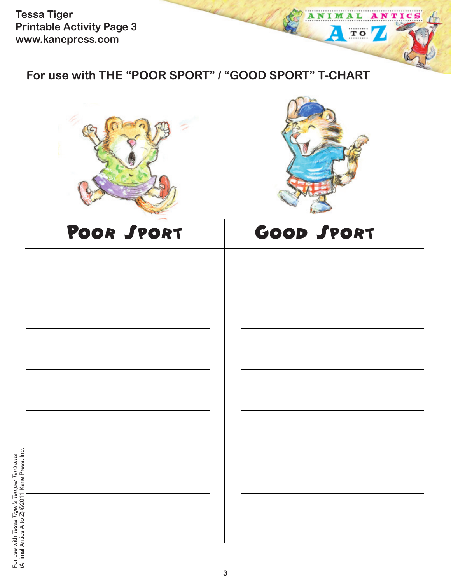**Tessa Tiger Printable Activity Page 3 www.kanepress.com**

**For use with THE "POOR SPORT" / "GOOD SPORT" T-CHART**





ANTICS

AL

 $TQ$ 

ANIM

Δ

## POOR SPORT GOOD SPORT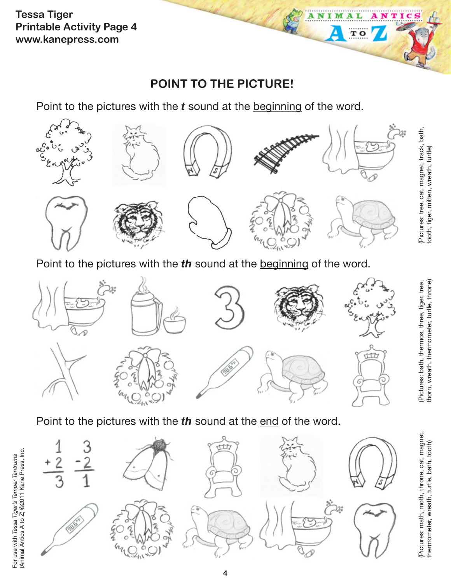**Tessa Tiger Printable Activity Page 4 www.kanepress.com**

## **POINT TO THE PICTURE!**

A N т M т

 $\overline{\mathbf{T}}$  O

Point to the pictures with the *t* sound at the beginning of the word.



Point to the pictures with the *th* sound at the beginning of the word.



Point to the pictures with the *th* sound at the end of the word.



(Pictures: math, moth, throne, cat, magnet, thermometer, wreath, turtle, bath, tooth)

(Pictures: math, moth, throne, cat, magnet, thermometer, wreath, turtle, bath, tooth)

For use with *Tessa Tiger's Temper Tantrums* (Animal Antics A to Z) ©2011 Kane Press, Inc.

For use with Tessa Tiger's Temper Tantrums<br>(Animal Antics A to Z) ©2011 Kane Press, Inc.